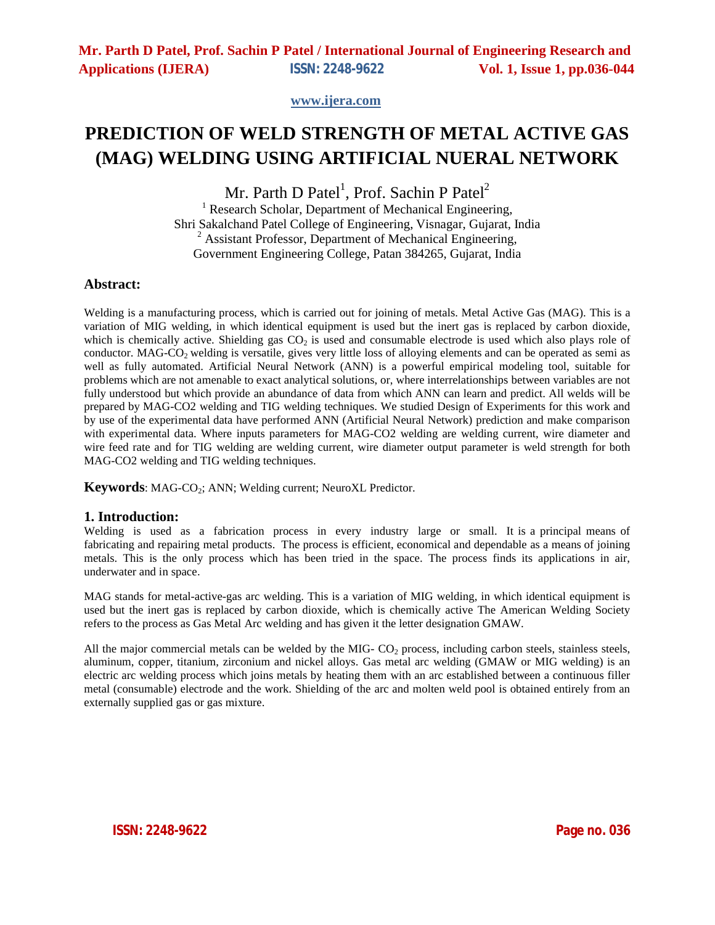**www.ijera.com**

# **PREDICTION OF WELD STRENGTH OF METAL ACTIVE GAS (MAG) WELDING USING ARTIFICIAL NUERAL NETWORK**

Mr. Parth D Patel<sup>1</sup>, Prof. Sachin P Patel<sup>2</sup>

<sup>1</sup> Research Scholar, Department of Mechanical Engineering, Shri Sakalchand Patel College of Engineering, Visnagar, Gujarat, India  $2$  Assistant Professor, Department of Mechanical Engineering, Government Engineering College, Patan 384265, Gujarat, India

### **Abstract:**

Welding is a manufacturing process, which is carried out for joining of metals. Metal Active Gas (MAG). This is a variation of MIG welding, in which identical equipment is used but the inert gas is replaced by carbon dioxide, which is chemically active. Shielding gas  $CO<sub>2</sub>$  is used and consumable electrode is used which also plays role of conductor. MAG-CO<sub>2</sub> welding is versatile, gives very little loss of alloying elements and can be operated as semi as well as fully automated. Artificial Neural Network (ANN) is a powerful empirical modeling tool, suitable for problems which are not amenable to exact analytical solutions, or, where interrelationships between variables are not fully understood but which provide an abundance of data from which ANN can learn and predict. All welds will be prepared by MAG-CO2 welding and TIG welding techniques. We studied Design of Experiments for this work and by use of the experimental data have performed ANN (Artificial Neural Network) prediction and make comparison with experimental data. Where inputs parameters for MAG-CO2 welding are welding current, wire diameter and wire feed rate and for TIG welding are welding current, wire diameter output parameter is weld strength for both MAG-CO2 welding and TIG welding techniques.

**Keywords**: MAG-CO<sub>2</sub>; ANN; Welding current; NeuroXL Predictor.

### **1. Introduction:**

Welding is used as a fabrication process in every industry large or small. It is a principal means of fabricating and repairing metal products. The process is efficient, economical and dependable as a means of joining metals. This is the only process which has been tried in the space. The process finds its applications in air, underwater and in space.

MAG stands for metal-active-gas arc welding. This is a variation of MIG welding, in which identical equipment is used but the inert gas is replaced by carbon dioxide, which is chemically active The American Welding Society refers to the process as Gas Metal Arc welding and has given it the letter designation GMAW.

All the major commercial metals can be welded by the MIG- $CO<sub>2</sub>$  process, including carbon steels, stainless steels, aluminum, copper, titanium, zirconium and nickel alloys. Gas metal arc welding (GMAW or MIG welding) is an electric arc welding process which joins metals by heating them with an arc established between a continuous filler metal (consumable) electrode and the work. Shielding of the arc and molten weld pool is obtained entirely from an externally supplied gas or gas mixture.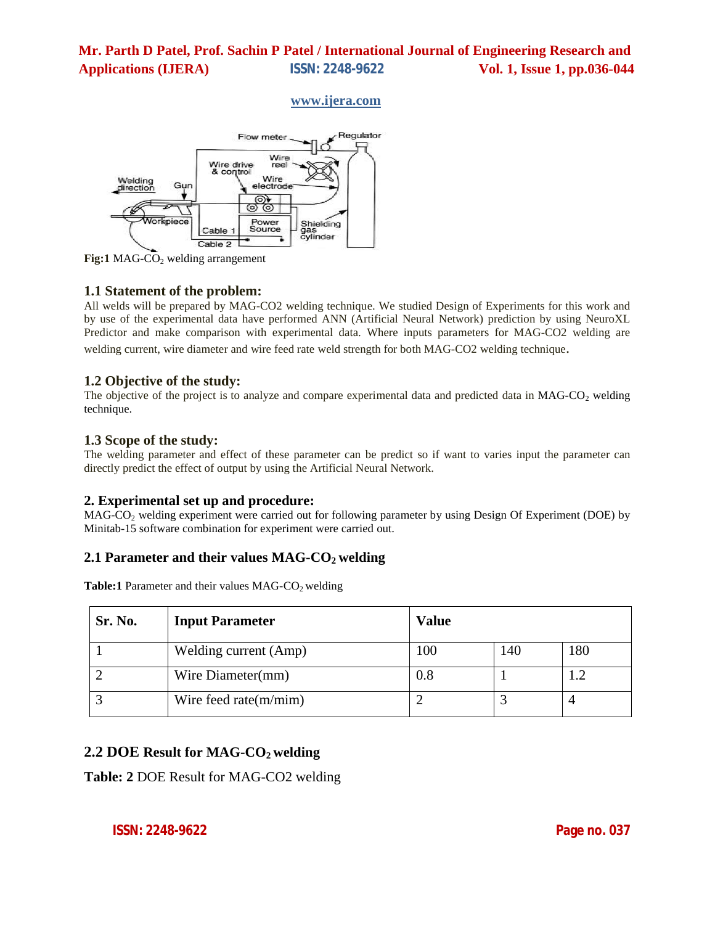### **www.ijera.com**



**Fig:1 MAG-CO<sub>2</sub>** welding arrangement

### **1.1 Statement of the problem:**

All welds will be prepared by MAG-CO2 welding technique. We studied Design of Experiments for this work and by use of the experimental data have performed ANN (Artificial Neural Network) prediction by using NeuroXL Predictor and make comparison with experimental data. Where inputs parameters for MAG-CO2 welding are welding current, wire diameter and wire feed rate weld strength for both MAG-CO2 welding technique.

### **1.2 Objective of the study:**

The objective of the project is to analyze and compare experimental data and predicted data in  $MAG-CO<sub>2</sub>$  welding technique.

### **1.3 Scope of the study:**

The welding parameter and effect of these parameter can be predict so if want to varies input the parameter can directly predict the effect of output by using the Artificial Neural Network.

### **2. Experimental set up and procedure:**

MAG-CO<sub>2</sub> welding experiment were carried out for following parameter by using Design Of Experiment (DOE) by Minitab-15 software combination for experiment were carried out.

## **2.1 Parameter and their values MAG-CO2 welding**

**Table:1** Parameter and their values MAG-CO<sub>2</sub> welding

| Sr. No. | <b>Input Parameter</b>   | <b>Value</b> |     |     |
|---------|--------------------------|--------------|-----|-----|
|         | Welding current (Amp)    | 100          | 140 | 180 |
|         | Wire Diameter(mm)        | $0.8\,$      |     |     |
|         | Wire feed rate $(m/min)$ |              |     | 4   |

## **2.2 DOE Result for MAG-CO2 welding**

**Table: 2** DOE Result for MAG-CO2 welding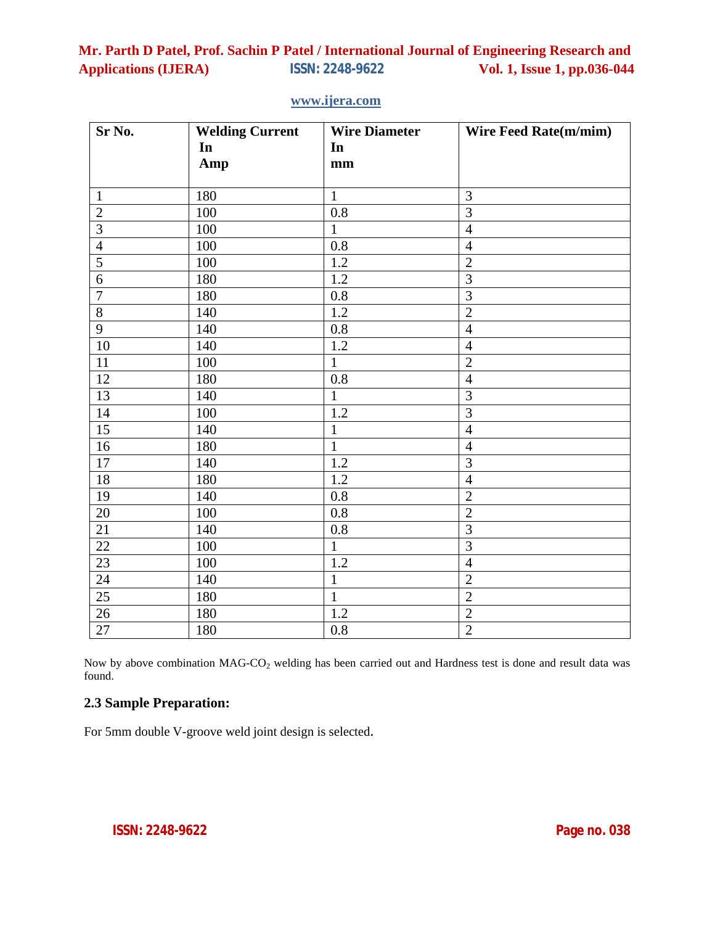| Sr No.          | <b>Welding Current</b> | <b>Wire Diameter</b> | <b>Wire Feed Rate(m/mim)</b> |
|-----------------|------------------------|----------------------|------------------------------|
|                 | In                     | In                   |                              |
|                 | Amp                    | mm                   |                              |
|                 |                        |                      |                              |
| $\overline{1}$  | 180                    | $\mathbf{1}$         | 3                            |
| $\frac{2}{3}$   | 100                    | $0.8\,$              | $\overline{3}$               |
|                 | 100                    | $\mathbf{1}$         | $\overline{4}$               |
| $\frac{4}{5}$   | 100                    | 0.8                  | $\overline{4}$               |
|                 | 100                    | 1.2                  | $\overline{2}$               |
| $\overline{6}$  | 180                    | 1.2                  | $\overline{3}$               |
| $\overline{7}$  | 180                    | 0.8                  | $\overline{3}$               |
| $\overline{8}$  | 140                    | $1.2\,$              | $\overline{2}$               |
| 9               | 140                    | 0.8                  | $\overline{4}$               |
| 10              | 140                    | 1.2                  | $\overline{4}$               |
| 11              | 100                    | $\mathbf{1}$         | $\overline{2}$               |
| 12              | 180                    | 0.8                  | $\overline{4}$               |
| 13              | 140                    | $\mathbf{1}$         | $\overline{3}$               |
| 14              | 100                    | 1.2                  | $\overline{3}$               |
| 15              | 140                    | $\mathbf{1}$         | $\overline{4}$               |
| 16              | 180                    | $\mathbf{1}$         | $\overline{4}$               |
| 17              | 140                    | 1.2                  | 3                            |
| 18              | 180                    | 1.2                  | $\overline{4}$               |
| 19              | 140                    | 0.8                  | $\overline{2}$               |
| $20\,$          | 100                    | 0.8                  | $\overline{2}$               |
| $21\,$          | 140                    | $0.8\,$              | $\overline{3}$               |
| $\overline{22}$ | 100                    | $\mathbf{1}$         | $\overline{3}$               |
| $\overline{23}$ | 100                    | 1.2                  | $\overline{4}$               |
| $\overline{24}$ | 140                    | $\mathbf{1}$         | $\overline{2}$               |
| $25\,$          | 180                    | $\mathbf{1}$         | $\overline{2}$               |
| 26              | 180                    | 1.2                  | $\overline{2}$               |
| 27              | 180                    | 0.8                  | $\overline{2}$               |

## **www.ijera.com**

Now by above combination MAG-CO<sub>2</sub> welding has been carried out and Hardness test is done and result data was found.

# **2.3 Sample Preparation:**

For 5mm double V-groove weld joint design is selected.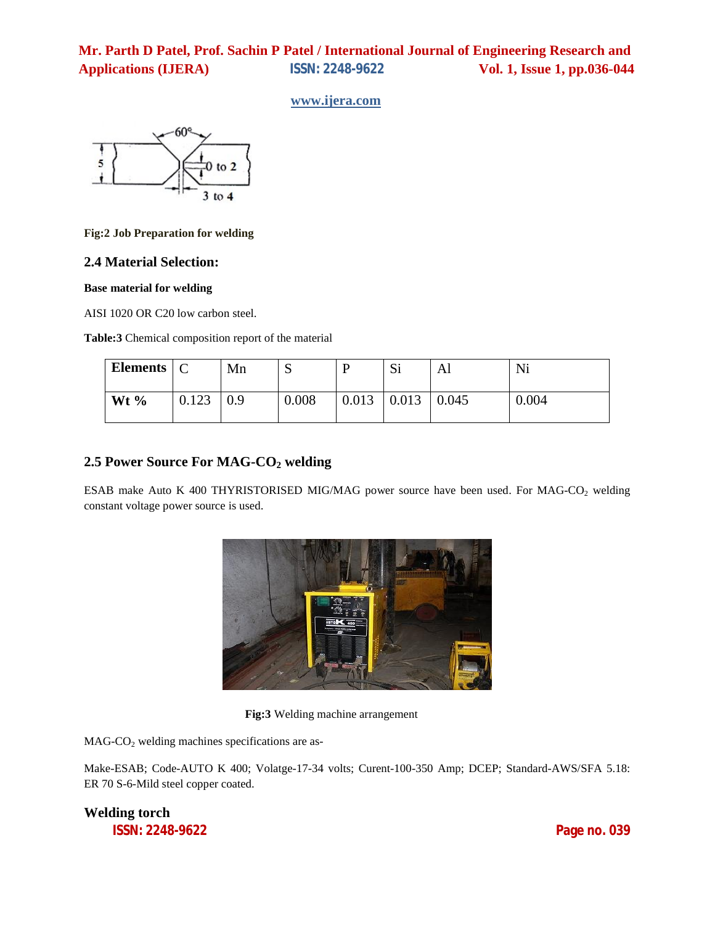### **www.ijera.com**



#### **Fig:2 Job Preparation for welding**

### **2.4 Material Selection:**

### **Base material for welding**

AISI 1020 OR C20 low carbon steel.

**Table:3** Chemical composition report of the material

| Elements $\mid$ C |       | Mn  | ື     | D     | Si    | Al    | Ni    |
|-------------------|-------|-----|-------|-------|-------|-------|-------|
| Wt $\%$           | 0.123 | 0.9 | 0.008 | 0.013 | 0.013 | 0.045 | 0.004 |

# **2.5 Power Source For MAG-CO2 welding**

ESAB make Auto K 400 THYRISTORISED MIG/MAG power source have been used. For MAG-CO<sub>2</sub> welding constant voltage power source is used.



**Fig:3** Welding machine arrangement

 $MAG-CO<sub>2</sub>$  welding machines specifications are as-

Make-ESAB; Code-AUTO K 400; Volatge-17-34 volts; Curent-100-350 Amp; DCEP; Standard-AWS/SFA 5.18: ER 70 S-6-Mild steel copper coated.

**Welding torch**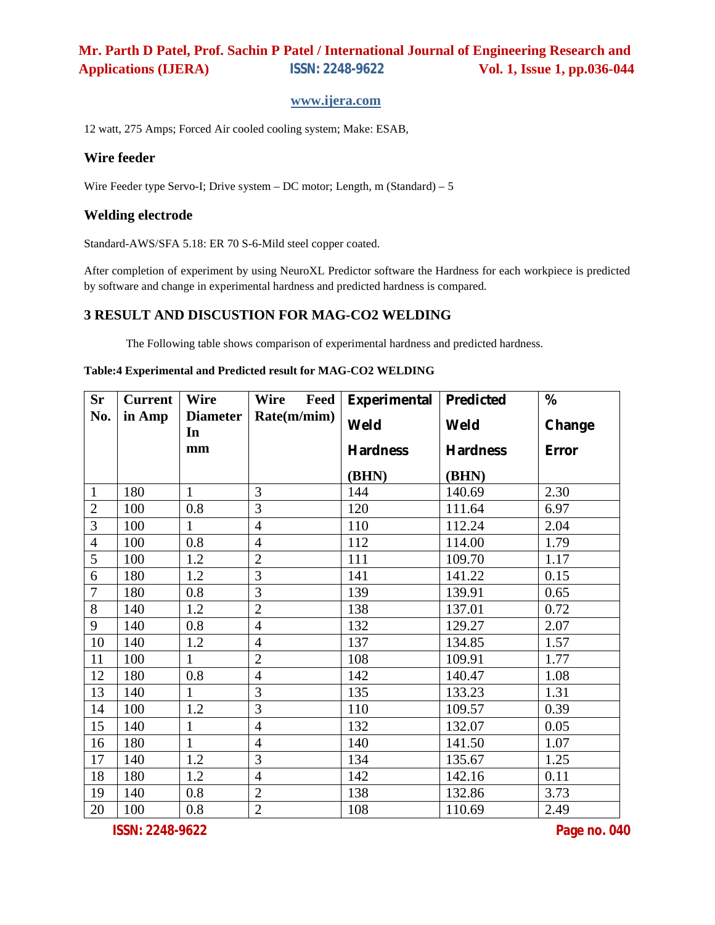### **www.ijera.com**

12 watt, 275 Amps; Forced Air cooled cooling system; Make: ESAB,

### **Wire feeder**

Wire Feeder type Servo-I; Drive system – DC motor; Length, m (Standard) – 5

### **Welding electrode**

Standard-AWS/SFA 5.18: ER 70 S-6-Mild steel copper coated.

After completion of experiment by using NeuroXL Predictor software the Hardness for each workpiece is predicted by software and change in experimental hardness and predicted hardness is compared.

### **3 RESULT AND DISCUSTION FOR MAG-CO2 WELDING**

The Following table shows comparison of experimental hardness and predicted hardness.

#### **Table:4 Experimental and Predicted result for MAG-CO2 WELDING**

| <b>Sr</b>      | <b>Current</b> | <b>Wire</b>           | <b>Wire</b><br>Feed | Experimental   Predicted |          | %      |
|----------------|----------------|-----------------------|---------------------|--------------------------|----------|--------|
| No.            | in Amp         | <b>Diameter</b><br>In | Rate(m/min)         | Weld                     | Weld     | Change |
|                |                | mm                    |                     | Hardness                 | Hardness | Error  |
|                |                |                       |                     | (BHN)                    | (BHN)    |        |
| $\mathbf{1}$   | 180            | $\mathbf{1}$          | 3                   | 144                      | 140.69   | 2.30   |
| $\overline{2}$ | 100            | 0.8                   | 3                   | 120                      | 111.64   | 6.97   |
| $\overline{3}$ | 100            | $\mathbf{1}$          | $\overline{4}$      | 110                      | 112.24   | 2.04   |
| $\overline{4}$ | 100            | 0.8                   | $\overline{4}$      | 112                      | 114.00   | 1.79   |
| 5              | 100            | 1.2                   | $\overline{2}$      | 111                      | 109.70   | 1.17   |
| 6              | 180            | 1.2                   | 3                   | 141                      | 141.22   | 0.15   |
| $\overline{7}$ | 180            | 0.8                   | 3                   | 139                      | 139.91   | 0.65   |
| 8              | 140            | 1.2                   | $\overline{2}$      | 138                      | 137.01   | 0.72   |
| 9              | 140            | 0.8                   | $\overline{4}$      | 132                      | 129.27   | 2.07   |
| 10             | 140            | 1.2                   | $\overline{4}$      | 137                      | 134.85   | 1.57   |
| 11             | 100            | $\mathbf{1}$          | $\overline{2}$      | 108                      | 109.91   | 1.77   |
| 12             | 180            | 0.8                   | $\overline{4}$      | 142                      | 140.47   | 1.08   |
| 13             | 140            | 1                     | 3                   | 135                      | 133.23   | 1.31   |
| 14             | 100            | 1.2                   | 3                   | 110                      | 109.57   | 0.39   |
| 15             | 140            | $\mathbf{1}$          | $\overline{4}$      | 132                      | 132.07   | 0.05   |
| 16             | 180            | $\mathbf{1}$          | $\overline{4}$      | 140                      | 141.50   | 1.07   |
| 17             | 140            | 1.2                   | 3                   | 134                      | 135.67   | 1.25   |
| 18             | 180            | 1.2                   | $\overline{4}$      | 142                      | 142.16   | 0.11   |
| 19             | 140            | 0.8                   | $\overline{2}$      | 138                      | 132.86   | 3.73   |
| 20             | 100            | 0.8                   | $\overline{2}$      | 108                      | 110.69   | 2.49   |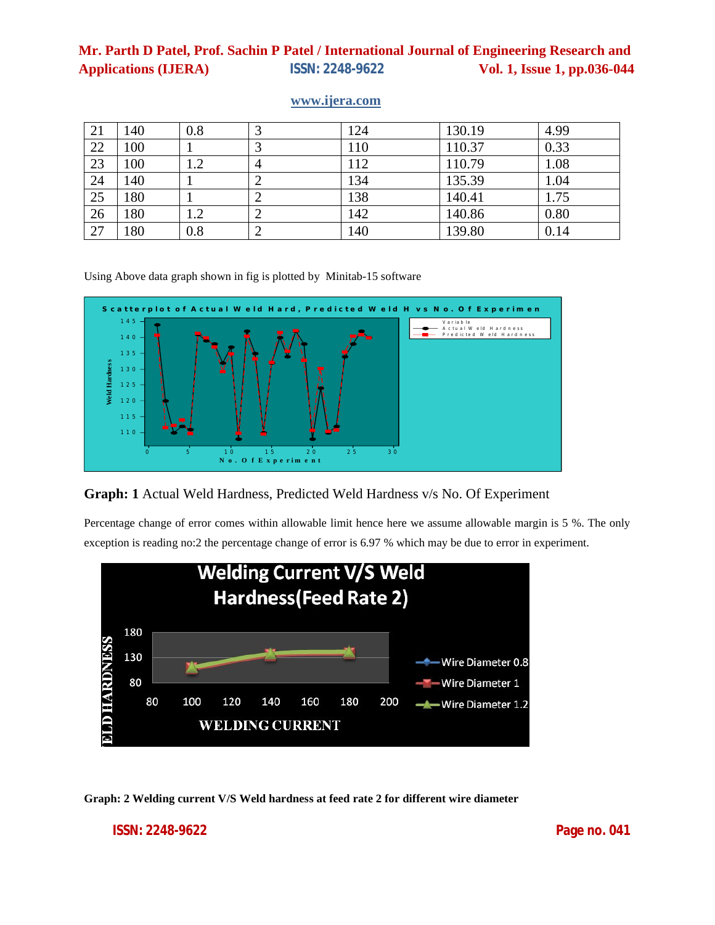| 21 | 140 | 0.8 | Ć              | 124 | 130.19 | 4.99 |
|----|-----|-----|----------------|-----|--------|------|
| 22 | 100 |     | ⌒<br>3         | 110 | 110.37 | 0.33 |
| 23 | 100 | 1.2 | $\overline{4}$ | 112 | 110.79 | 1.08 |
| 24 | 140 |     | 2              | 134 | 135.39 | 1.04 |
| 25 | 180 |     | ∠              | 138 | 140.41 | 1.75 |
| 26 | 180 | 1.2 | ∠              | 142 | 140.86 | 0.80 |
| 27 | 180 | 0.8 | ◠<br>∠         | 140 | 139.80 | 0.14 |

### **www.ijera.com**

Using Above data graph shown in fig is plotted by Minitab-15 software



**Graph: 1** Actual Weld Hardness, Predicted Weld Hardness v/s No. Of Experiment

Percentage change of error comes within allowable limit hence here we assume allowable margin is 5 %. The only exception is reading no:2 the percentage change of error is 6.97 % which may be due to error in experiment.



**Graph: 2 Welding current V/S Weld hardness at feed rate 2 for different wire diameter**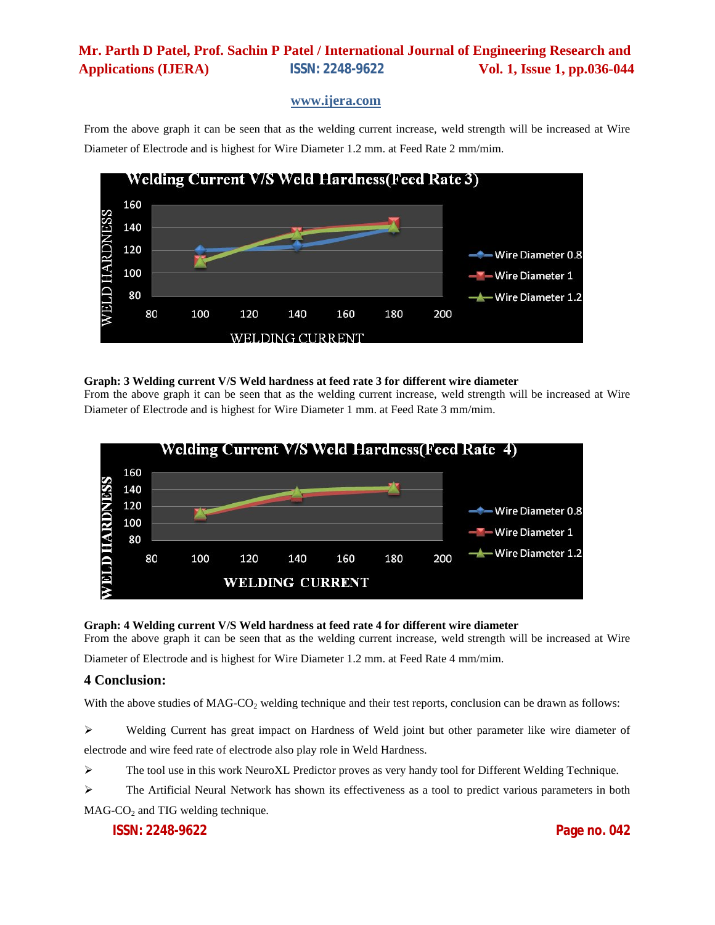### **www.ijera.com**

From the above graph it can be seen that as the welding current increase, weld strength will be increased at Wire Diameter of Electrode and is highest for Wire Diameter 1.2 mm. at Feed Rate 2 mm/mim.



### **Graph: 3 Welding current V/S Weld hardness at feed rate 3 for different wire diameter**

From the above graph it can be seen that as the welding current increase, weld strength will be increased at Wire Diameter of Electrode and is highest for Wire Diameter 1 mm. at Feed Rate 3 mm/mim.



#### **Graph: 4 Welding current V/S Weld hardness at feed rate 4 for different wire diameter**

From the above graph it can be seen that as the welding current increase, weld strength will be increased at Wire Diameter of Electrode and is highest for Wire Diameter 1.2 mm. at Feed Rate 4 mm/mim.

### **4 Conclusion:**

With the above studies of MAG-CO<sub>2</sub> welding technique and their test reports, conclusion can be drawn as follows:

 Welding Current has great impact on Hardness of Weld joint but other parameter like wire diameter of electrode and wire feed rate of electrode also play role in Weld Hardness.

The tool use in this work NeuroXL Predictor proves as very handy tool for Different Welding Technique.

 The Artificial Neural Network has shown its effectiveness as a tool to predict various parameters in both  $MAG-CO<sub>2</sub>$  and TIG welding technique.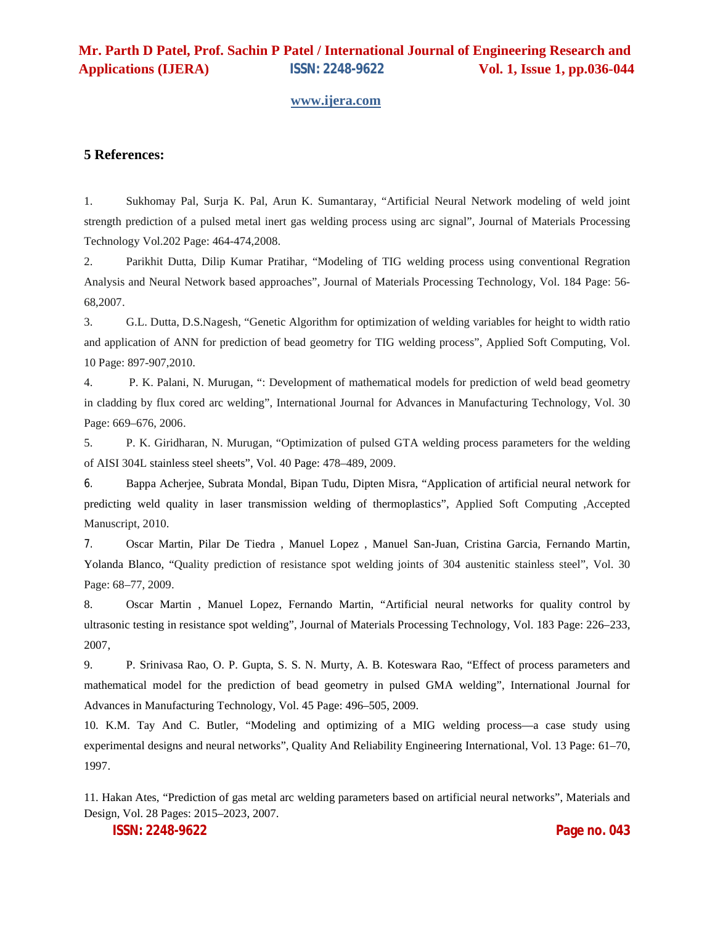#### **www.ijera.com**

### **5 References:**

1. Sukhomay Pal, Surja K. Pal, Arun K. Sumantaray, "Artificial Neural Network modeling of weld joint strength prediction of a pulsed metal inert gas welding process using arc signal", Journal of Materials Processing Technology Vol.202 Page: 464-474,2008.

2. Parikhit Dutta, Dilip Kumar Pratihar, "Modeling of TIG welding process using conventional Regration Analysis and Neural Network based approaches", Journal of Materials Processing Technology, Vol. 184 Page: 56- 68,2007.

3. G.L. Dutta, D.S.Nagesh, "Genetic Algorithm for optimization of welding variables for height to width ratio and application of ANN for prediction of bead geometry for TIG welding process", Applied Soft Computing, Vol. 10 Page: 897-907,2010.

4. P. K. Palani, N. Murugan, ": Development of mathematical models for prediction of weld bead geometry in cladding by flux cored arc welding", International Journal for Advances in Manufacturing Technology, Vol. 30 Page: 669–676, 2006.

5. P. K. Giridharan, N. Murugan, "Optimization of pulsed GTA welding process parameters for the welding of AISI 304L stainless steel sheets", Vol. 40 Page: 478–489, 2009.

6. Bappa Acherjee, Subrata Mondal, Bipan Tudu, Dipten Misra, "Application of artificial neural network for predicting weld quality in laser transmission welding of thermoplastics", Applied Soft Computing ,Accepted Manuscript, 2010.

7. Oscar Martin, Pilar De Tiedra , Manuel Lopez , Manuel San-Juan, Cristina Garcia, Fernando Martin, Yolanda Blanco, "Quality prediction of resistance spot welding joints of 304 austenitic stainless steel", Vol. 30 Page: 68–77, 2009.

8. Oscar Martin , Manuel Lopez, Fernando Martin, "Artificial neural networks for quality control by ultrasonic testing in resistance spot welding", Journal of Materials Processing Technology, Vol. 183 Page: 226–233, 2007,

9. P. Srinivasa Rao, O. P. Gupta, S. S. N. Murty, A. B. Koteswara Rao, "Effect of process parameters and mathematical model for the prediction of bead geometry in pulsed GMA welding", International Journal for Advances in Manufacturing Technology, Vol. 45 Page: 496–505, 2009.

10. K.M. Tay And C. Butler, "Modeling and optimizing of a MIG welding process—a case study using experimental designs and neural networks", Quality And Reliability Engineering International, Vol. 13 Page: 61–70, 1997.

11. Hakan Ates, "Prediction of gas metal arc welding parameters based on artificial neural networks", Materials and Design, Vol. 28 Pages: 2015–2023, 2007.